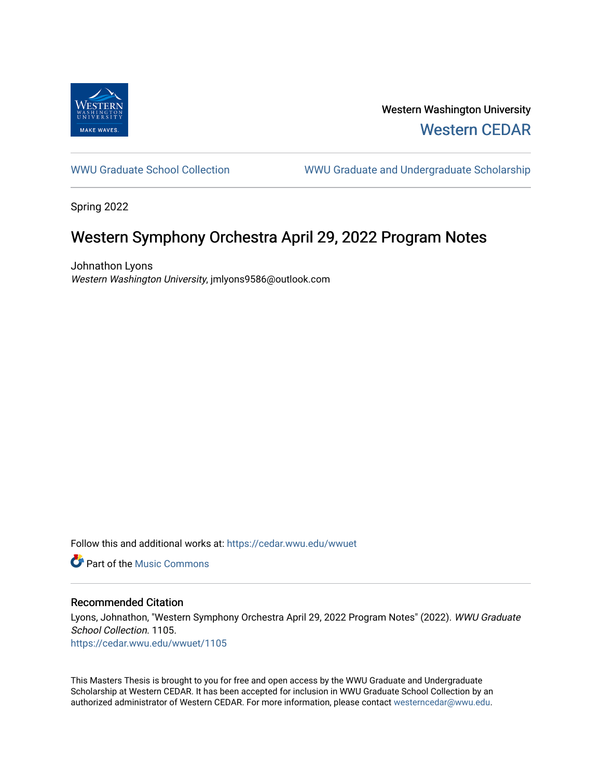

Western Washington University [Western CEDAR](https://cedar.wwu.edu/) 

[WWU Graduate School Collection](https://cedar.wwu.edu/wwuet) WWU Graduate and Undergraduate Scholarship

Spring 2022

# Western Symphony Orchestra April 29, 2022 Program Notes

Johnathon Lyons Western Washington University, jmlyons9586@outlook.com

Follow this and additional works at: [https://cedar.wwu.edu/wwuet](https://cedar.wwu.edu/wwuet?utm_source=cedar.wwu.edu%2Fwwuet%2F1105&utm_medium=PDF&utm_campaign=PDFCoverPages)

**C** Part of the Music Commons

#### Recommended Citation

Lyons, Johnathon, "Western Symphony Orchestra April 29, 2022 Program Notes" (2022). WWU Graduate School Collection. 1105. [https://cedar.wwu.edu/wwuet/1105](https://cedar.wwu.edu/wwuet/1105?utm_source=cedar.wwu.edu%2Fwwuet%2F1105&utm_medium=PDF&utm_campaign=PDFCoverPages) 

This Masters Thesis is brought to you for free and open access by the WWU Graduate and Undergraduate Scholarship at Western CEDAR. It has been accepted for inclusion in WWU Graduate School Collection by an authorized administrator of Western CEDAR. For more information, please contact [westerncedar@wwu.edu.](mailto:westerncedar@wwu.edu)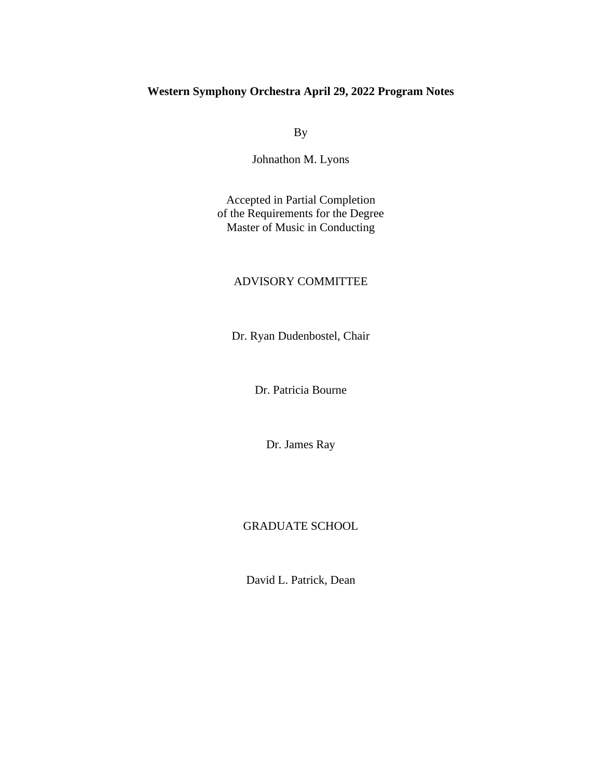### **Western Symphony Orchestra April 29, 2022 Program Notes**

By

Johnathon M. Lyons

Accepted in Partial Completion of the Requirements for the Degree Master of Music in Conducting

#### ADVISORY COMMITTEE

Dr. Ryan Dudenbostel, Chair

Dr. Patricia Bourne

Dr. James Ray

### GRADUATE SCHOOL

David L. Patrick, Dean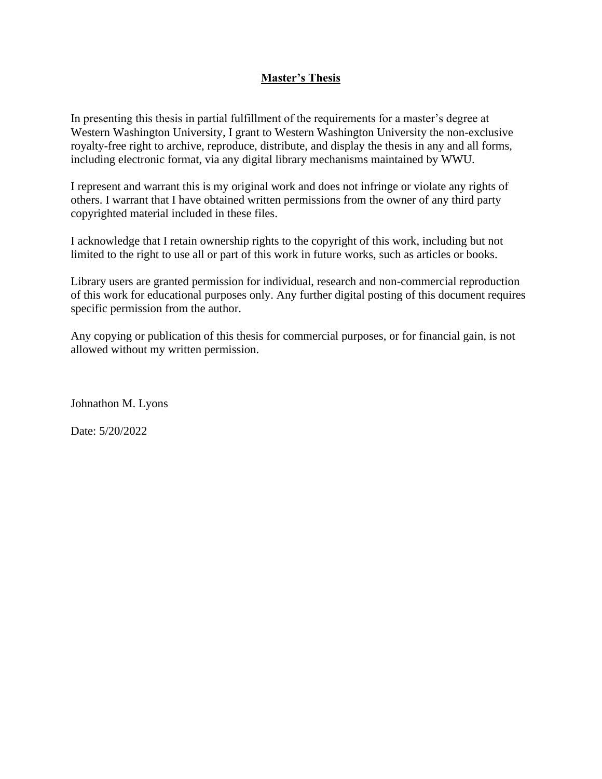### **Master's Thesis**

In presenting this thesis in partial fulfillment of the requirements for a master's degree at Western Washington University, I grant to Western Washington University the non-exclusive royalty-free right to archive, reproduce, distribute, and display the thesis in any and all forms, including electronic format, via any digital library mechanisms maintained by WWU.

I represent and warrant this is my original work and does not infringe or violate any rights of others. I warrant that I have obtained written permissions from the owner of any third party copyrighted material included in these files.

I acknowledge that I retain ownership rights to the copyright of this work, including but not limited to the right to use all or part of this work in future works, such as articles or books.

Library users are granted permission for individual, research and non-commercial reproduction of this work for educational purposes only. Any further digital posting of this document requires specific permission from the author.

Any copying or publication of this thesis for commercial purposes, or for financial gain, is not allowed without my written permission.

Johnathon M. Lyons

Date: 5/20/2022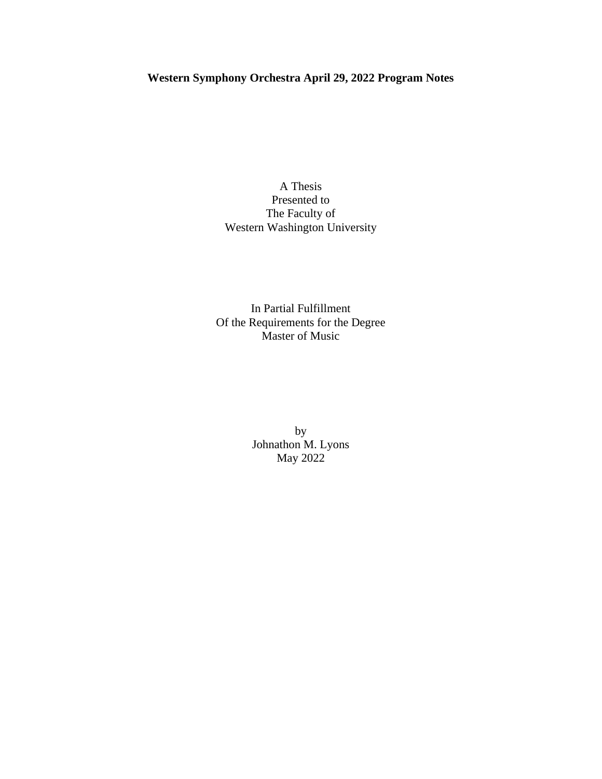## **Western Symphony Orchestra April 29, 2022 Program Notes**

A Thesis Presented to The Faculty of Western Washington University

In Partial Fulfillment Of the Requirements for the Degree Master of Music

> by Johnathon M. Lyons May 2022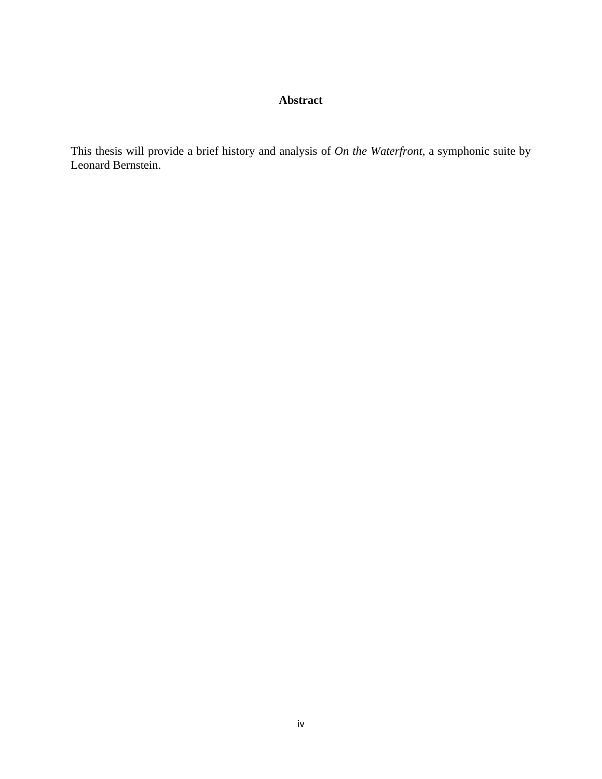### **Abstract**

This thesis will provide a brief history and analysis of *On the Waterfront*, a symphonic suite by Leonard Bernstein.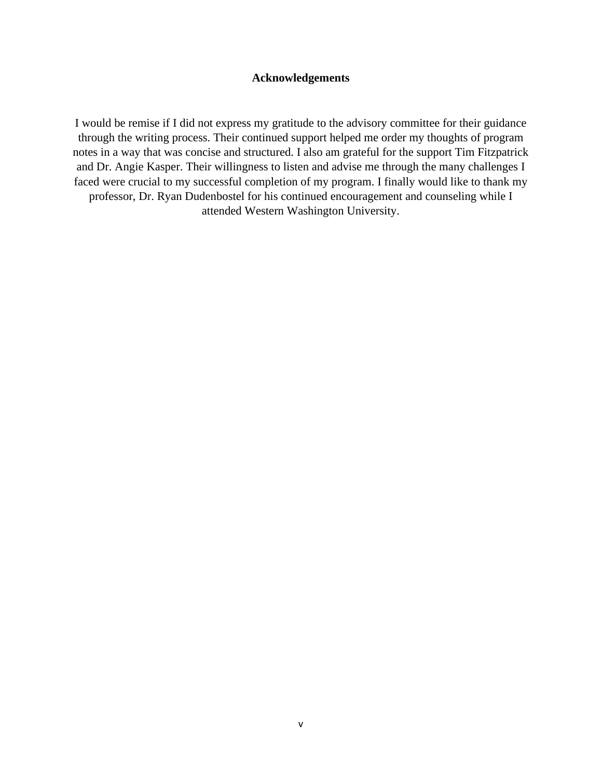#### **Acknowledgements**

I would be remise if I did not express my gratitude to the advisory committee for their guidance through the writing process. Their continued support helped me order my thoughts of program notes in a way that was concise and structured. I also am grateful for the support Tim Fitzpatrick and Dr. Angie Kasper. Their willingness to listen and advise me through the many challenges I faced were crucial to my successful completion of my program. I finally would like to thank my professor, Dr. Ryan Dudenbostel for his continued encouragement and counseling while I attended Western Washington University.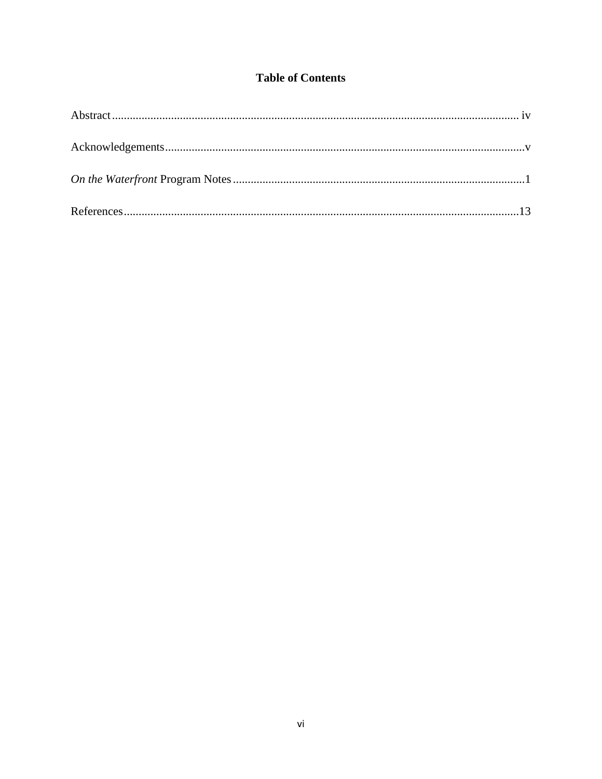### **Table of Contents**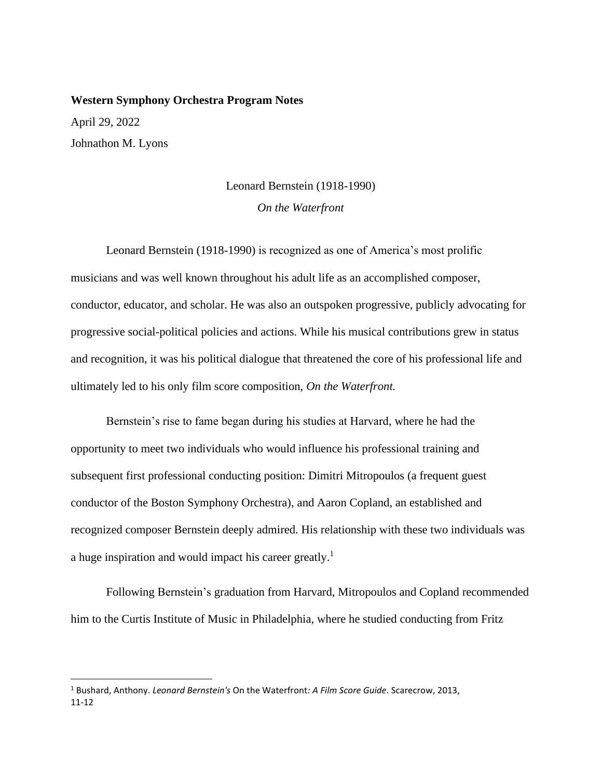#### **Western Symphony Orchestra Program Notes**

April 29, 2022 Johnathon M. Lyons

## Leonard Bernstein (1918-1990) *On the Waterfront*

Leonard Bernstein (1918-1990) is recognized as one of America's most prolific musicians and was well known throughout his adult life as an accomplished composer, conductor, educator, and scholar. He was also an outspoken progressive, publicly advocating for progressive social-political policies and actions. While his musical contributions grew in status and recognition, it was his political dialogue that threatened the core of his professional life and ultimately led to his only film score composition, *On the Waterfront.*

Bernstein's rise to fame began during his studies at Harvard, where he had the opportunity to meet two individuals who would influence his professional training and subsequent first professional conducting position: Dimitri Mitropoulos (a frequent guest conductor of the Boston Symphony Orchestra), and Aaron Copland, an established and recognized composer Bernstein deeply admired. His relationship with these two individuals was a huge inspiration and would impact his career greatly.<sup>1</sup>

Following Bernstein's graduation from Harvard, Mitropoulos and Copland recommended him to the Curtis Institute of Music in Philadelphia, where he studied conducting from Fritz

<sup>1</sup> Bushard, Anthony. *Leonard Bernstein's* On the Waterfront*: A Film Score Guide*. Scarecrow, 2013, 11-12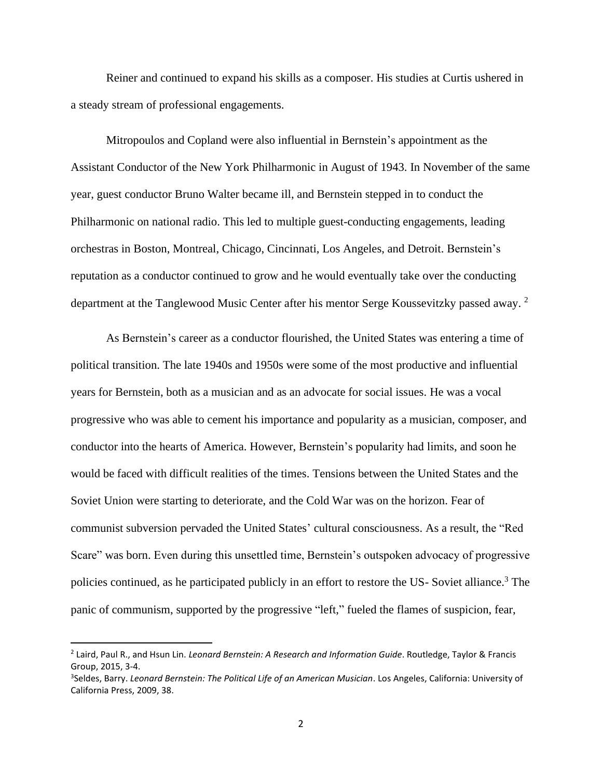Reiner and continued to expand his skills as a composer. His studies at Curtis ushered in a steady stream of professional engagements.

Mitropoulos and Copland were also influential in Bernstein's appointment as the Assistant Conductor of the New York Philharmonic in August of 1943. In November of the same year, guest conductor Bruno Walter became ill, and Bernstein stepped in to conduct the Philharmonic on national radio. This led to multiple guest-conducting engagements, leading orchestras in Boston, Montreal, Chicago, Cincinnati, Los Angeles, and Detroit. Bernstein's reputation as a conductor continued to grow and he would eventually take over the conducting department at the Tanglewood Music Center after his mentor Serge Koussevitzky passed away.<sup>2</sup>

As Bernstein's career as a conductor flourished, the United States was entering a time of political transition. The late 1940s and 1950s were some of the most productive and influential years for Bernstein, both as a musician and as an advocate for social issues. He was a vocal progressive who was able to cement his importance and popularity as a musician, composer, and conductor into the hearts of America. However, Bernstein's popularity had limits, and soon he would be faced with difficult realities of the times. Tensions between the United States and the Soviet Union were starting to deteriorate, and the Cold War was on the horizon. Fear of communist subversion pervaded the United States' cultural consciousness. As a result, the "Red Scare" was born. Even during this unsettled time, Bernstein's outspoken advocacy of progressive policies continued, as he participated publicly in an effort to restore the US-Soviet alliance.<sup>3</sup> The panic of communism, supported by the progressive "left," fueled the flames of suspicion, fear,

<sup>2</sup> Laird, Paul R., and Hsun Lin. *Leonard Bernstein: A Research and Information Guide*. Routledge, Taylor & Francis Group, 2015, 3-4.

<sup>3</sup> Seldes, Barry. *Leonard Bernstein: The Political Life of an American Musician*. Los Angeles, California: University of California Press, 2009, 38.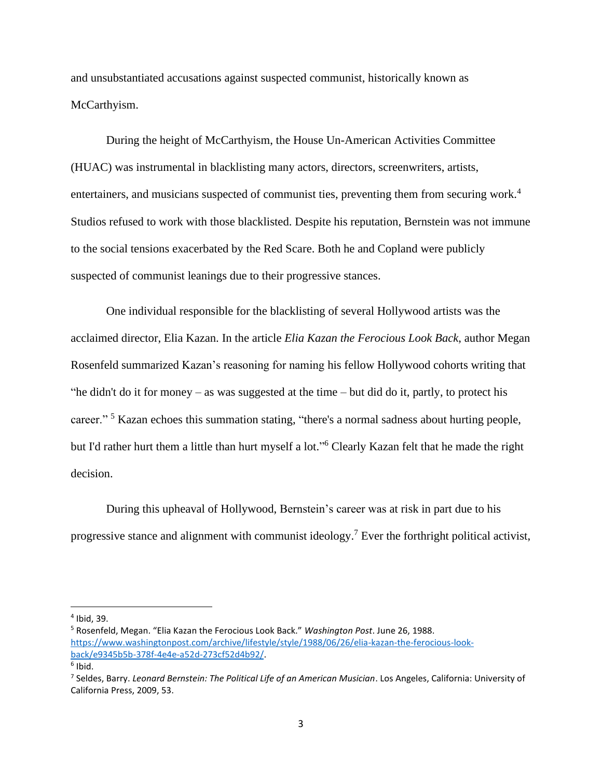and unsubstantiated accusations against suspected communist, historically known as McCarthyism.

During the height of McCarthyism, the House Un-American Activities Committee (HUAC) was instrumental in blacklisting many actors, directors, screenwriters, artists, entertainers, and musicians suspected of communist ties, preventing them from securing work.<sup>4</sup> Studios refused to work with those blacklisted. Despite his reputation, Bernstein was not immune to the social tensions exacerbated by the Red Scare. Both he and Copland were publicly suspected of communist leanings due to their progressive stances.

One individual responsible for the blacklisting of several Hollywood artists was the acclaimed director, Elia Kazan. In the article *Elia Kazan the Ferocious Look Back*, author Megan Rosenfeld summarized Kazan's reasoning for naming his fellow Hollywood cohorts writing that "he didn't do it for money – as was suggested at the time – but did do it, partly, to protect his career."<sup>5</sup> Kazan echoes this summation stating, "there's a normal sadness about hurting people, but I'd rather hurt them a little than hurt myself a lot." <sup>6</sup> Clearly Kazan felt that he made the right decision.

During this upheaval of Hollywood, Bernstein's career was at risk in part due to his progressive stance and alignment with communist ideology.<sup>7</sup> Ever the forthright political activist,

<sup>4</sup> Ibid, 39.

<sup>5</sup> Rosenfeld, Megan. "Elia Kazan the Ferocious Look Back." *Washington Post*. June 26, 1988. [https://www.washingtonpost.com/archive/lifestyle/style/1988/06/26/elia-kazan-the-ferocious-look](https://www.washingtonpost.com/archive/lifestyle/style/1988/06/26/elia-kazan-the-ferocious-look-back/e9345b5b-378f-4e4e-a52d-273cf52d4b92/)[back/e9345b5b-378f-4e4e-a52d-273cf52d4b92/.](https://www.washingtonpost.com/archive/lifestyle/style/1988/06/26/elia-kazan-the-ferocious-look-back/e9345b5b-378f-4e4e-a52d-273cf52d4b92/)

<sup>&</sup>lt;sup>6</sup> Ibid.

<sup>7</sup> Seldes, Barry. *Leonard Bernstein: The Political Life of an American Musician*. Los Angeles, California: University of California Press, 2009, 53.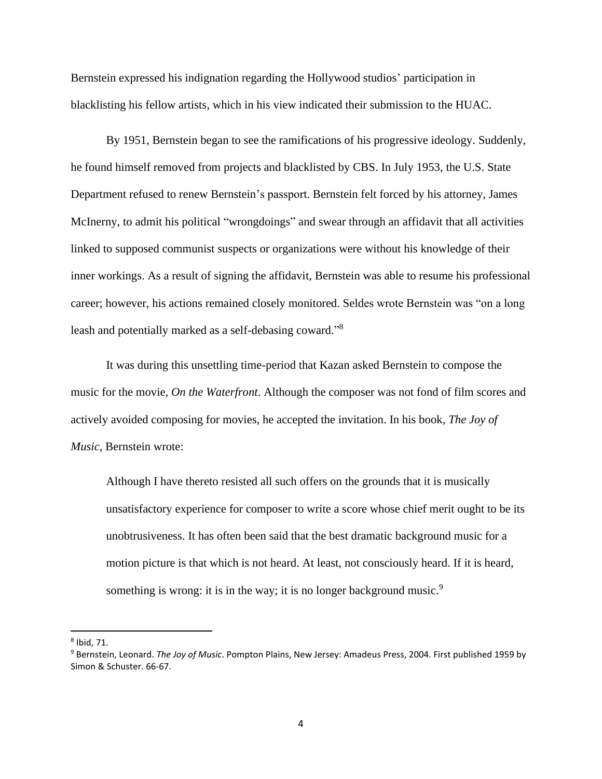Bernstein expressed his indignation regarding the Hollywood studios' participation in blacklisting his fellow artists, which in his view indicated their submission to the HUAC.

By 1951, Bernstein began to see the ramifications of his progressive ideology. Suddenly, he found himself removed from projects and blacklisted by CBS. In July 1953, the U.S. State Department refused to renew Bernstein's passport. Bernstein felt forced by his attorney, James McInerny, to admit his political "wrongdoings" and swear through an affidavit that all activities linked to supposed communist suspects or organizations were without his knowledge of their inner workings. As a result of signing the affidavit, Bernstein was able to resume his professional career; however, his actions remained closely monitored. Seldes wrote Bernstein was "on a long leash and potentially marked as a self-debasing coward."<sup>8</sup>

It was during this unsettling time-period that Kazan asked Bernstein to compose the music for the movie, *On the Waterfront*. Although the composer was not fond of film scores and actively avoided composing for movies, he accepted the invitation. In his book, *The Joy of Music*, Bernstein wrote:

Although I have thereto resisted all such offers on the grounds that it is musically unsatisfactory experience for composer to write a score whose chief merit ought to be its unobtrusiveness. It has often been said that the best dramatic background music for a motion picture is that which is not heard. At least, not consciously heard. If it is heard, something is wrong: it is in the way; it is no longer background music.<sup>9</sup>

<sup>8</sup> Ibid, 71.

<sup>9</sup> Bernstein, Leonard. *The Joy of Music*. Pompton Plains, New Jersey: Amadeus Press, 2004. First published 1959 by Simon & Schuster. 66-67.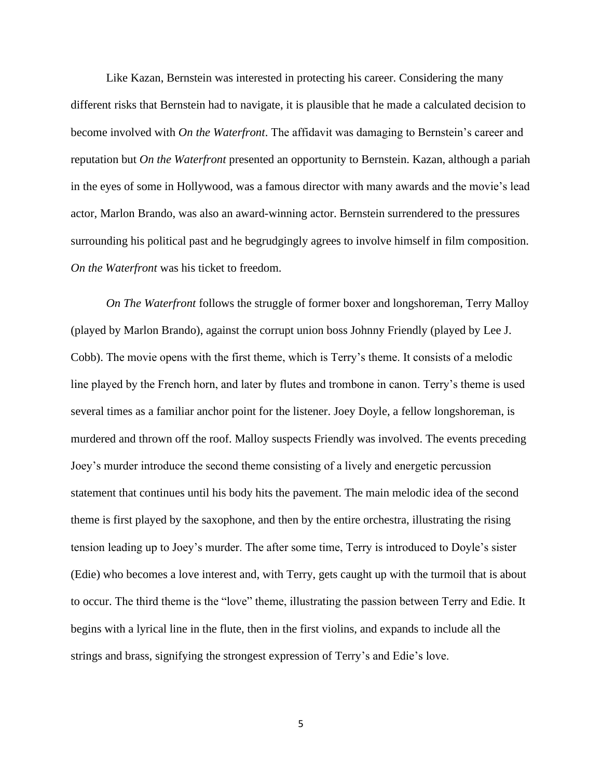Like Kazan, Bernstein was interested in protecting his career. Considering the many different risks that Bernstein had to navigate, it is plausible that he made a calculated decision to become involved with *On the Waterfront*. The affidavit was damaging to Bernstein's career and reputation but *On the Waterfront* presented an opportunity to Bernstein. Kazan, although a pariah in the eyes of some in Hollywood, was a famous director with many awards and the movie's lead actor, Marlon Brando, was also an award-winning actor. Bernstein surrendered to the pressures surrounding his political past and he begrudgingly agrees to involve himself in film composition. *On the Waterfront* was his ticket to freedom.

*On The Waterfront* follows the struggle of former boxer and longshoreman, Terry Malloy (played by Marlon Brando), against the corrupt union boss Johnny Friendly (played by Lee J. Cobb). The movie opens with the first theme, which is Terry's theme. It consists of a melodic line played by the French horn, and later by flutes and trombone in canon. Terry's theme is used several times as a familiar anchor point for the listener. Joey Doyle, a fellow longshoreman, is murdered and thrown off the roof. Malloy suspects Friendly was involved. The events preceding Joey's murder introduce the second theme consisting of a lively and energetic percussion statement that continues until his body hits the pavement. The main melodic idea of the second theme is first played by the saxophone, and then by the entire orchestra, illustrating the rising tension leading up to Joey's murder. The after some time, Terry is introduced to Doyle's sister (Edie) who becomes a love interest and, with Terry, gets caught up with the turmoil that is about to occur. The third theme is the "love" theme, illustrating the passion between Terry and Edie. It begins with a lyrical line in the flute, then in the first violins, and expands to include all the strings and brass, signifying the strongest expression of Terry's and Edie's love.

5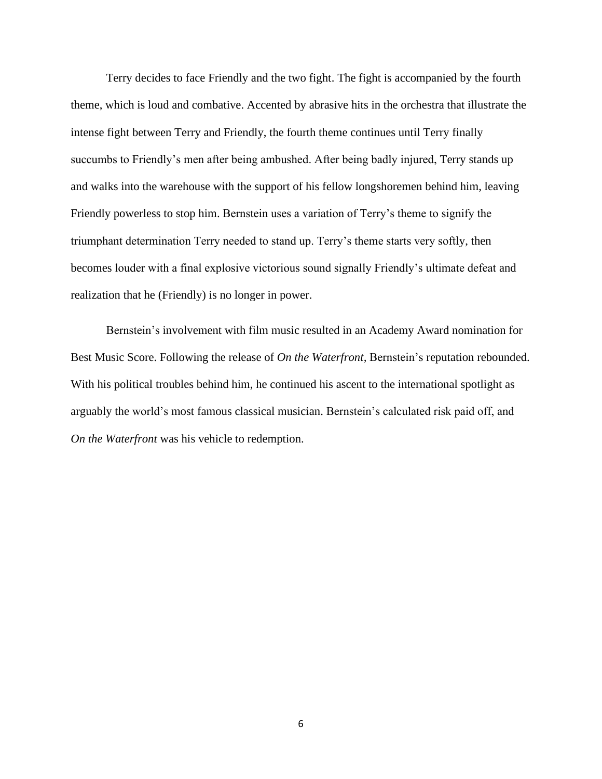Terry decides to face Friendly and the two fight. The fight is accompanied by the fourth theme, which is loud and combative. Accented by abrasive hits in the orchestra that illustrate the intense fight between Terry and Friendly, the fourth theme continues until Terry finally succumbs to Friendly's men after being ambushed. After being badly injured, Terry stands up and walks into the warehouse with the support of his fellow longshoremen behind him, leaving Friendly powerless to stop him. Bernstein uses a variation of Terry's theme to signify the triumphant determination Terry needed to stand up. Terry's theme starts very softly, then becomes louder with a final explosive victorious sound signally Friendly's ultimate defeat and realization that he (Friendly) is no longer in power.

Bernstein's involvement with film music resulted in an Academy Award nomination for Best Music Score. Following the release of *On the Waterfront,* Bernstein's reputation rebounded. With his political troubles behind him, he continued his ascent to the international spotlight as arguably the world's most famous classical musician. Bernstein's calculated risk paid off, and *On the Waterfront* was his vehicle to redemption.